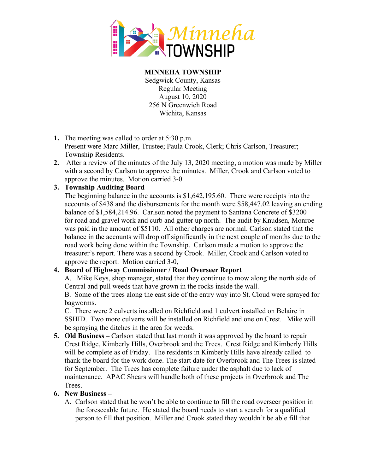

**MINNEHA TOWNSHIP** Sedgwick County, Kansas Regular Meeting August 10, 2020 256 N Greenwich Road Wichita, Kansas

- **1.** The meeting was called to order at 5:30 p.m. Present were Marc Miller, Trustee; Paula Crook, Clerk; Chris Carlson, Treasurer; Township Residents.
- **2.** After a review of the minutes of the July 13, 2020 meeting, a motion was made by Miller with a second by Carlson to approve the minutes. Miller, Crook and Carlson voted to approve the minutes. Motion carried 3-0.

## **3. Township Auditing Board**

The beginning balance in the accounts is \$1,642,195.60. There were receipts into the accounts of \$438 and the disbursements for the month were \$58,447.02 leaving an ending balance of \$1,584,214.96. Carlson noted the payment to Santana Concrete of \$3200 for road and gravel work and curb and gutter up north. The audit by Knudsen, Monroe was paid in the amount of \$5110. All other charges are normal. Carlson stated that the balance in the accounts will drop off significantly in the next couple of months due to the road work being done within the Township. Carlson made a motion to approve the treasurer's report. There was a second by Crook. Miller, Crook and Carlson voted to approve the report. Motion carried 3-0,

## **4. Board of Highway Commissioner / Road Overseer Report**

A. Mike Keys, shop manager, stated that they continue to mow along the north side of Central and pull weeds that have grown in the rocks inside the wall.

B. Some of the trees along the east side of the entry way into St. Cloud were sprayed for bagworms.

C. There were 2 culverts installed on Richfield and 1 culvert installed on Belaire in SSHID. Two more culverts will be installed on Richfield and one on Crest. Mike will be spraying the ditches in the area for weeds.

**5. Old Business –** Carlson stated that last month it was approved by the board to repair Crest Ridge, Kimberly Hills, Overbrook and the Trees. Crest Ridge and Kimberly Hills will be complete as of Friday. The residents in Kimberly Hills have already called to thank the board for the work done. The start date for Overbrook and The Trees is slated for September. The Trees has complete failure under the asphalt due to lack of maintenance. APAC Shears will handle both of these projects in Overbrook and The Trees.

## **6. New Business –**

A. Carlson stated that he won't be able to continue to fill the road overseer position in the foreseeable future. He stated the board needs to start a search for a qualified person to fill that position. Miller and Crook stated they wouldn't be able fill that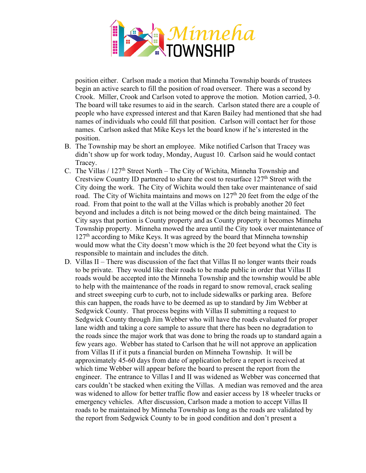

position either. Carlson made a motion that Minneha Township boards of trustees begin an active search to fill the position of road overseer. There was a second by Crook. Miller, Crook and Carlson voted to approve the motion. Motion carried, 3-0. The board will take resumes to aid in the search. Carlson stated there are a couple of people who have expressed interest and that Karen Bailey had mentioned that she had names of individuals who could fill that position. Carlson will contact her for those names. Carlson asked that Mike Keys let the board know if he's interested in the position.

- B. The Township may be short an employee. Mike notified Carlson that Tracey was didn't show up for work today, Monday, August 10. Carlson said he would contact Tracey.
- C. The Villas /  $127<sup>th</sup>$  Street North The City of Wichita, Minneha Township and Crestview Country ID partnered to share the cost to resurface  $127<sup>th</sup>$  Street with the City doing the work. The City of Wichita would then take over maintenance of said road. The City of Wichita maintains and mows on  $127<sup>th</sup>$  20 feet from the edge of the road. From that point to the wall at the Villas which is probably another 20 feet beyond and includes a ditch is not being mowed or the ditch being maintained. The City says that portion is County property and as County property it becomes Minneha Township property. Minneha mowed the area until the City took over maintenance of  $127<sup>th</sup>$  according to Mike Keys. It was agreed by the board that Minneha township would mow what the City doesn't mow which is the 20 feet beyond what the City is responsible to maintain and includes the ditch.
- D. Villas II There was discussion of the fact that Villas II no longer wants their roads to be private. They would like their roads to be made public in order that Villas II roads would be accepted into the Minneha Township and the township would be able to help with the maintenance of the roads in regard to snow removal, crack sealing and street sweeping curb to curb, not to include sidewalks or parking area. Before this can happen, the roads have to be deemed as up to standard by Jim Webber at Sedgwick County. That process begins with Villas II submitting a request to Sedgwick County through Jim Webber who will have the roads evaluated for proper lane width and taking a core sample to assure that there has been no degradation to the roads since the major work that was done to bring the roads up to standard again a few years ago. Webber has stated to Carlson that he will not approve an application from Villas II if it puts a financial burden on Minneha Township. It will be approximately 45-60 days from date of application before a report is received at which time Webber will appear before the board to present the report from the engineer. The entrance to Villas I and II was widened as Webber was concerned that cars couldn't be stacked when exiting the Villas. A median was removed and the area was widened to allow for better traffic flow and easier access by 18 wheeler trucks or emergency vehicles. After discussion, Carlson made a motion to accept Villas II roads to be maintained by Minneha Township as long as the roads are validated by the report from Sedgwick County to be in good condition and don't present a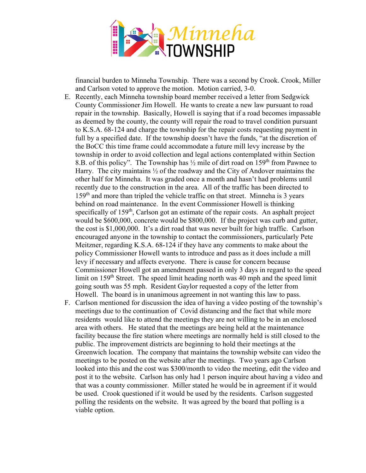

financial burden to Minneha Township. There was a second by Crook. Crook, Miller and Carlson voted to approve the motion. Motion carried, 3-0.

- E. Recently, each Minneha township board member received a letter from Sedgwick County Commissioner Jim Howell. He wants to create a new law pursuant to road repair in the township. Basically, Howell is saying that if a road becomes impassable as deemed by the county, the county will repair the road to travel condition pursuant to K.S.A. 68-124 and charge the township for the repair costs requesting payment in full by a specified date. If the township doesn't have the funds, "at the discretion of the BoCC this time frame could accommodate a future mill levy increase by the township in order to avoid collection and legal actions contemplated within Section 8.B. of this policy". The Township has  $\frac{1}{2}$  mile of dirt road on 159<sup>th</sup> from Pawnee to Harry. The city maintains ½ of the roadway and the City of Andover maintains the other half for Minneha. It was graded once a month and hasn't had problems until recently due to the construction in the area. All of the traffic has been directed to 159<sup>th</sup> and more than tripled the vehicle traffic on that street. Minneha is 3 years behind on road maintenance. In the event Commissioner Howell is thinking specifically of 159<sup>th</sup>, Carlson got an estimate of the repair costs. An asphalt project would be \$600,000, concrete would be \$800,000. If the project was curb and gutter, the cost is \$1,000,000. It's a dirt road that was never built for high traffic. Carlson encouraged anyone in the township to contact the commissioners, particularly Pete Meitzner, regarding K.S.A. 68-124 if they have any comments to make about the policy Commissioner Howell wants to introduce and pass as it does include a mill levy if necessary and affects everyone. There is cause for concern because Commissioner Howell got an amendment passed in only 3 days in regard to the speed limit on  $159<sup>th</sup>$  Street. The speed limit heading north was 40 mph and the speed limit going south was 55 mph. Resident Gaylor requested a copy of the letter from Howell. The board is in unanimous agreement in not wanting this law to pass.
- F. Carlson mentioned for discussion the idea of having a video posting of the township's meetings due to the continuation of Covid distancing and the fact that while more residents would like to attend the meetings they are not willing to be in an enclosed area with others. He stated that the meetings are being held at the maintenance facility because the fire station where meetings are normally held is still closed to the public. The improvement districts are beginning to hold their meetings at the Greenwich location. The company that maintains the township website can video the meetings to be posted on the website after the meetings. Two years ago Carlson looked into this and the cost was \$300/month to video the meeting, edit the video and post it to the website. Carlson has only had 1 person inquire about having a video and that was a county commissioner. Miller stated he would be in agreement if it would be used. Crook questioned if it would be used by the residents. Carlson suggested polling the residents on the website. It was agreed by the board that polling is a viable option.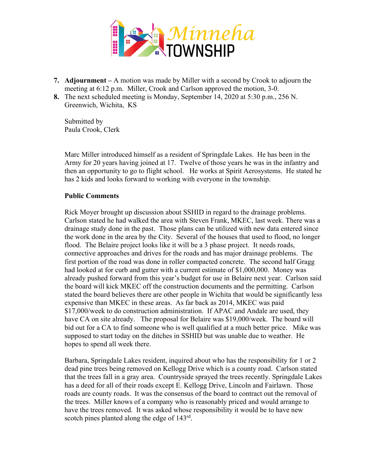

- **7. Adjournment –** A motion was made by Miller with a second by Crook to adjourn the meeting at 6:12 p.m. Miller, Crook and Carlson approved the motion, 3-0.
- **8.** The next scheduled meeting is Monday, September 14, 2020 at 5:30 p.m., 256 N. Greenwich, Wichita, KS

Submitted by Paula Crook, Clerk

Marc Miller introduced himself as a resident of Springdale Lakes. He has been in the Army for 20 years having joined at 17. Twelve of those years he was in the infantry and then an opportunity to go to flight school. He works at Spirit Aerosystems. He stated he has 2 kids and looks forward to working with everyone in the township.

## **Public Comments**

Rick Moyer brought up discussion about SSHID in regard to the drainage problems. Carlson stated he had walked the area with Steven Frank, MKEC, last week. There was a drainage study done in the past. Those plans can be utilized with new data entered since the work done in the area by the City. Several of the houses that used to flood, no longer flood. The Belaire project looks like it will be a 3 phase project. It needs roads, connective approaches and drives for the roads and has major drainage problems. The first portion of the road was done in roller compacted concrete. The second half Gragg had looked at for curb and gutter with a current estimate of \$1,000,000. Money was already pushed forward from this year's budget for use in Belaire next year. Carlson said the board will kick MKEC off the construction documents and the permitting. Carlson stated the board believes there are other people in Wichita that would be significantly less expensive than MKEC in these areas. As far back as 2014, MKEC was paid \$17,000/week to do construction administration. If APAC and Andale are used, they have CA on site already. The proposal for Belaire was \$19,000/week. The board will bid out for a CA to find someone who is well qualified at a much better price. Mike was supposed to start today on the ditches in SSHID but was unable due to weather. He hopes to spend all week there.

Barbara, Springdale Lakes resident, inquired about who has the responsibility for 1 or 2 dead pine trees being removed on Kellogg Drive which is a county road. Carlson stated that the trees fall in a gray area. Countryside sprayed the trees recently. Springdale Lakes has a deed for all of their roads except E. Kellogg Drive, Lincoln and Fairlawn. Those roads are county roads. It was the consensus of the board to contract out the removal of the trees. Miller knows of a company who is reasonably priced and would arrange to have the trees removed. It was asked whose responsibility it would be to have new scotch pines planted along the edge of 143<sup>rd</sup>.